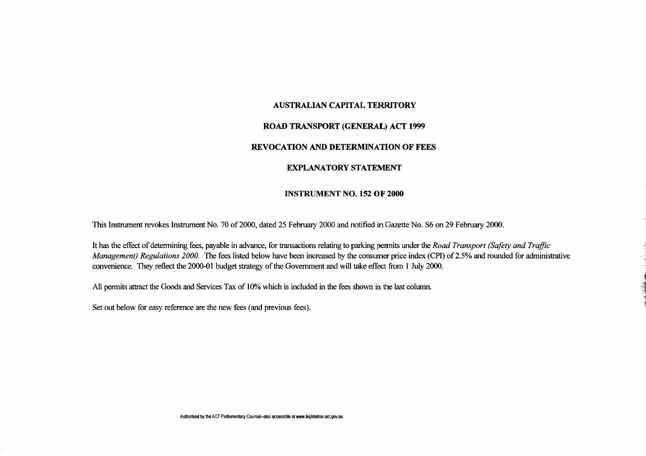#### **AUSTRALIAN CAPITAL TERRITORY**

# **ROAD TRANSPORT (GENERAL) ACT 1999**

# **REVOCATION AND DETERMINATION OF FEES**

## **EXPLANATORY STATEMENT**

#### **INSTRUMENT NO. 152 OF 2000**

This Instrument revokes Instrument No. 70 of 2000, dated 25 February 2000 and notified in Gazette No. S6 on 29 February 2000.

It has the effect of determining fees, payable in advance, for transactions relating to parking permits under the *Road Transport (Safety and Traffic Management) Regulations 2000.* The fees listed below have been increased by the consumer price index (CPI) of 2.5% and rounded for administrative convenience. They reflect the 2000-01 budget strategy of the Government and will take effect from 1 July 2000.

All permits attract the Goods and Services Tax of 10% which is included in the fees shown in the last column.

Set out below for easy reference are the new fees (and previous fees).

**Authorised by the ACT Parliamentary Counsel-also accessible at www.legislation.actgov.au**